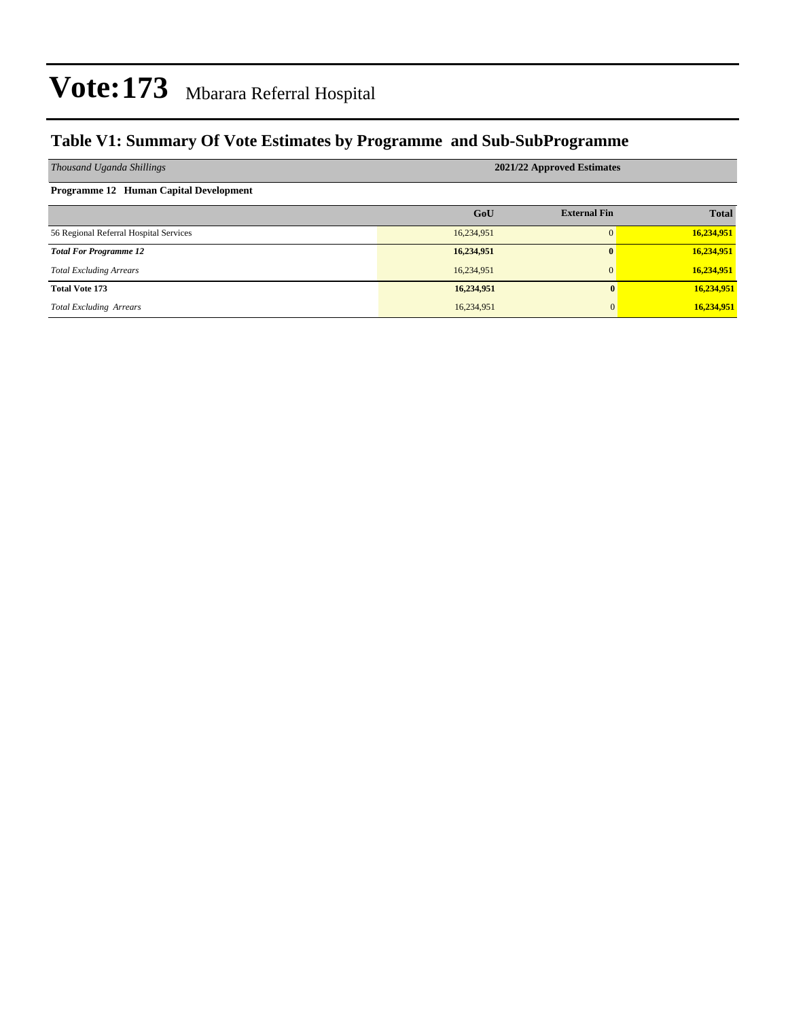### **Table V1: Summary Of Vote Estimates by Programme and Sub-SubProgramme**

| Thousand Uganda Shillings              | 2021/22 Approved Estimates |                     |              |  |  |  |  |  |  |
|----------------------------------------|----------------------------|---------------------|--------------|--|--|--|--|--|--|
| Programme 12 Human Capital Development |                            |                     |              |  |  |  |  |  |  |
|                                        | GoU                        | <b>External Fin</b> | <b>Total</b> |  |  |  |  |  |  |
| 56 Regional Referral Hospital Services | 16,234,951                 |                     | 16,234,951   |  |  |  |  |  |  |
| <b>Total For Programme 12</b>          | 16,234,951                 | $\mathbf{0}$        | 16,234,951   |  |  |  |  |  |  |
| <b>Total Excluding Arrears</b>         | 16,234,951                 | $\overline{0}$      | 16,234,951   |  |  |  |  |  |  |
| <b>Total Vote 173</b>                  | 16,234,951                 | $\mathbf{0}$        | 16,234,951   |  |  |  |  |  |  |
| <b>Total Excluding Arrears</b>         | 16,234,951                 | $\overline{0}$      | 16,234,951   |  |  |  |  |  |  |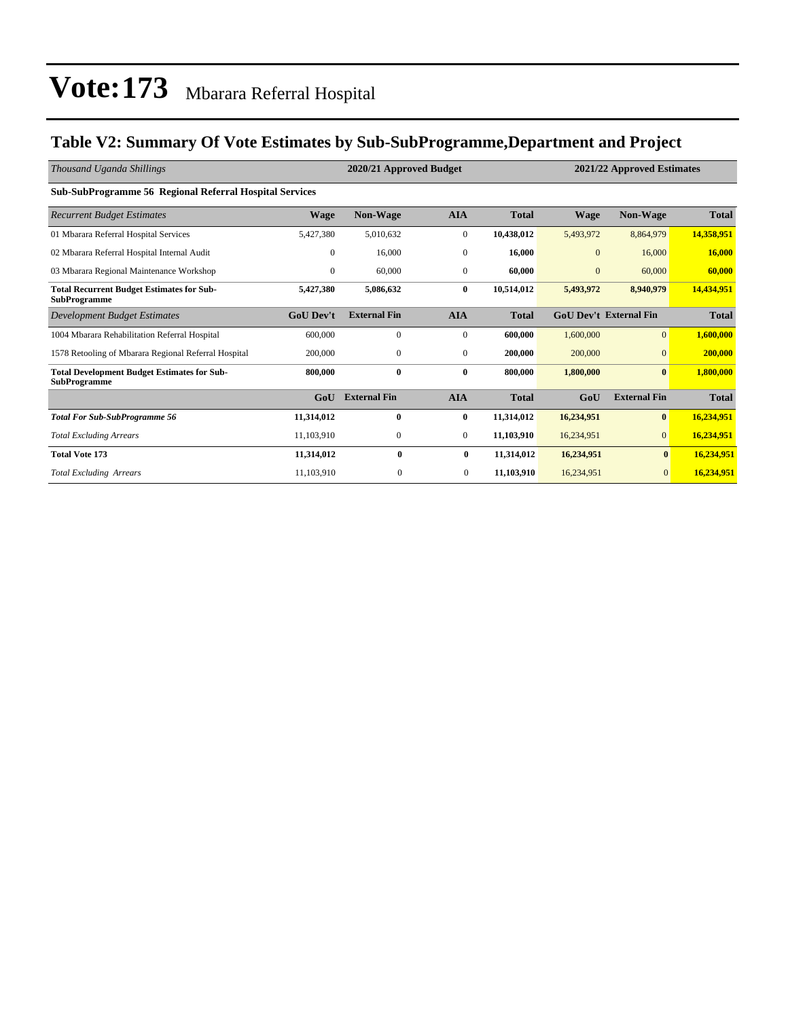### **Table V2: Summary Of Vote Estimates by Sub-SubProgramme,Department and Project**

| Thousand Uganda Shillings                                                 |                  | 2020/21 Approved Budget<br>2021/22 Approved Estimates |                  |              |                |                               |              |
|---------------------------------------------------------------------------|------------------|-------------------------------------------------------|------------------|--------------|----------------|-------------------------------|--------------|
| <b>Sub-SubProgramme 56 Regional Referral Hospital Services</b>            |                  |                                                       |                  |              |                |                               |              |
| <b>Recurrent Budget Estimates</b>                                         | Wage             | Non-Wage                                              | <b>AIA</b>       | <b>Total</b> | <b>Wage</b>    | Non-Wage                      | <b>Total</b> |
| 01 Mbarara Referral Hospital Services                                     | 5,427,380        | 5,010,632                                             | $\boldsymbol{0}$ | 10,438,012   | 5,493,972      | 8,864,979                     | 14.358.951   |
| 02 Mbarara Referral Hospital Internal Audit                               | $\overline{0}$   | 16,000                                                | $\mathbf{0}$     | 16,000       | $\overline{0}$ | 16,000                        | 16,000       |
| 03 Mbarara Regional Maintenance Workshop                                  | $\overline{0}$   | 60,000                                                | $\mathbf{0}$     | 60,000       | $\mathbf{0}$   | 60,000                        | 60,000       |
| <b>Total Recurrent Budget Estimates for Sub-</b><br><b>SubProgramme</b>   | 5,427,380        | 5,086,632                                             | $\bf{0}$         | 10,514,012   | 5,493,972      | 8,940,979                     | 14,434,951   |
| Development Budget Estimates                                              | <b>GoU</b> Dev't | <b>External Fin</b>                                   | <b>AIA</b>       | <b>Total</b> |                | <b>GoU Dev't External Fin</b> | <b>Total</b> |
| 1004 Mbarara Rehabilitation Referral Hospital                             | 600,000          | $\mathbf{0}$                                          | $\mathbf{0}$     | 600,000      | 1,600,000      | $\overline{0}$                | 1,600,000    |
| 1578 Retooling of Mbarara Regional Referral Hospital                      | 200,000          | $\mathbf{0}$                                          | $\mathbf{0}$     | 200,000      | 200,000        | $\mathbf{0}$                  | 200,000      |
| <b>Total Development Budget Estimates for Sub-</b><br><b>SubProgramme</b> | 800,000          | $\bf{0}$                                              | $\bf{0}$         | 800,000      | 1,800,000      | $\bf{0}$                      | 1.800.000    |
|                                                                           | GoU              | <b>External Fin</b>                                   | <b>AIA</b>       | <b>Total</b> | GoU            | <b>External Fin</b>           | <b>Total</b> |
| <b>Total For Sub-SubProgramme 56</b>                                      | 11,314,012       | $\bf{0}$                                              | $\bf{0}$         | 11,314,012   | 16,234,951     | $\bf{0}$                      | 16,234,951   |
| <b>Total Excluding Arrears</b>                                            | 11,103,910       | $\mathbf{0}$                                          | $\mathbf{0}$     | 11,103,910   | 16,234,951     | $\overline{0}$                | 16,234,951   |
| <b>Total Vote 173</b>                                                     | 11,314,012       | $\bf{0}$                                              | $\bf{0}$         | 11,314,012   | 16,234,951     | $\bf{0}$                      | 16,234,951   |
| <b>Total Excluding Arrears</b>                                            | 11,103,910       | $\mathbf{0}$                                          | $\overline{0}$   | 11,103,910   | 16,234,951     | $\overline{0}$                | 16.234.951   |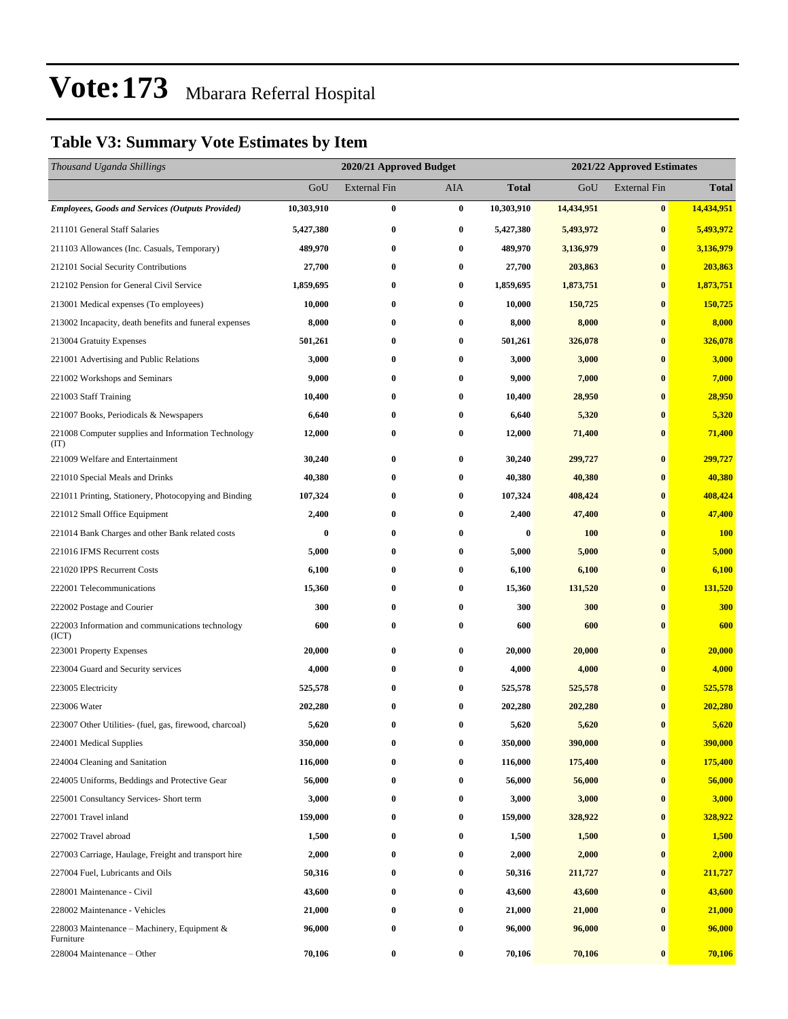### **Table V3: Summary Vote Estimates by Item**

| Thousand Uganda Shillings                                   |            | 2020/21 Approved Budget |            |              | 2021/22 Approved Estimates |                     |              |
|-------------------------------------------------------------|------------|-------------------------|------------|--------------|----------------------------|---------------------|--------------|
|                                                             | GoU        | <b>External Fin</b>     | <b>AIA</b> | <b>Total</b> | GoU                        | <b>External Fin</b> | <b>Total</b> |
| <b>Employees, Goods and Services (Outputs Provided)</b>     | 10,303,910 | $\bf{0}$                | $\bf{0}$   | 10,303,910   | 14,434,951                 | $\bf{0}$            | 14,434,951   |
| 211101 General Staff Salaries                               | 5,427,380  | $\bf{0}$                | $\bf{0}$   | 5,427,380    | 5,493,972                  | $\bf{0}$            | 5,493,972    |
| 211103 Allowances (Inc. Casuals, Temporary)                 | 489,970    | 0                       | $\bf{0}$   | 489,970      | 3,136,979                  | $\bf{0}$            | 3,136,979    |
| 212101 Social Security Contributions                        | 27,700     | 0                       | $\bf{0}$   | 27,700       | 203,863                    | $\bf{0}$            | 203,863      |
| 212102 Pension for General Civil Service                    | 1,859,695  | 0                       | $\bf{0}$   | 1,859,695    | 1,873,751                  | $\bf{0}$            | 1,873,751    |
| 213001 Medical expenses (To employees)                      | 10,000     | 0                       | $\bf{0}$   | 10,000       | 150,725                    | $\bf{0}$            | 150,725      |
| 213002 Incapacity, death benefits and funeral expenses      | 8,000      | $\bf{0}$                | $\bf{0}$   | 8,000        | 8,000                      | $\bf{0}$            | 8,000        |
| 213004 Gratuity Expenses                                    | 501,261    | 0                       | $\bf{0}$   | 501,261      | 326,078                    | $\bf{0}$            | 326,078      |
| 221001 Advertising and Public Relations                     | 3,000      | 0                       | $\bf{0}$   | 3,000        | 3,000                      | $\bf{0}$            | 3,000        |
| 221002 Workshops and Seminars                               | 9,000      | 0                       | $\bf{0}$   | 9,000        | 7,000                      | $\bf{0}$            | 7,000        |
| 221003 Staff Training                                       | 10,400     | 0                       | $\bf{0}$   | 10,400       | 28,950                     | $\bf{0}$            | 28,950       |
| 221007 Books, Periodicals & Newspapers                      | 6,640      | $\bf{0}$                | $\bf{0}$   | 6,640        | 5,320                      | $\bf{0}$            | 5,320        |
| 221008 Computer supplies and Information Technology<br>(TT) | 12,000     | 0                       | $\bf{0}$   | 12,000       | 71,400                     | $\bf{0}$            | 71,400       |
| 221009 Welfare and Entertainment                            | 30,240     | $\bf{0}$                | $\bf{0}$   | 30,240       | 299,727                    | $\bf{0}$            | 299,727      |
| 221010 Special Meals and Drinks                             | 40,380     | $\bf{0}$                | $\bf{0}$   | 40,380       | 40,380                     | $\bf{0}$            | 40,380       |
| 221011 Printing, Stationery, Photocopying and Binding       | 107,324    | 0                       | $\bf{0}$   | 107,324      | 408,424                    | $\bf{0}$            | 408,424      |
| 221012 Small Office Equipment                               | 2,400      | 0                       | $\bf{0}$   | 2,400        | 47,400                     | $\bf{0}$            | 47,400       |
| 221014 Bank Charges and other Bank related costs            | 0          | $\bf{0}$                | $\bf{0}$   | $\bf{0}$     | <b>100</b>                 | $\bf{0}$            | <b>100</b>   |
| 221016 IFMS Recurrent costs                                 | 5,000      | 0                       | $\bf{0}$   | 5,000        | 5,000                      | $\bf{0}$            | 5,000        |
| 221020 IPPS Recurrent Costs                                 | 6,100      | $\bf{0}$                | $\bf{0}$   | 6,100        | 6,100                      | $\bf{0}$            | 6,100        |
| 222001 Telecommunications                                   | 15,360     | 0                       | $\bf{0}$   | 15,360       | 131,520                    | $\bf{0}$            | 131,520      |
| 222002 Postage and Courier                                  | 300        | 0                       | $\bf{0}$   | 300          | 300                        | $\bf{0}$            | 300          |
| 222003 Information and communications technology<br>(ICT)   | 600        | $\bf{0}$                | $\bf{0}$   | 600          | 600                        | $\bf{0}$            | 600          |
| 223001 Property Expenses                                    | 20,000     | $\bf{0}$                | $\bf{0}$   | 20,000       | 20,000                     | $\bf{0}$            | 20,000       |
| 223004 Guard and Security services                          | 4,000      | 0                       | $\bf{0}$   | 4,000        | 4,000                      | $\bf{0}$            | 4,000        |
| 223005 Electricity                                          | 525,578    | 0                       | $\bf{0}$   | 525,578      | 525,578                    | $\bf{0}$            | 525,578      |
| 223006 Water                                                | 202,280    | 0                       | $\bf{0}$   | 202,280      | 202,280                    | $\bf{0}$            | 202,280      |
| 223007 Other Utilities- (fuel, gas, firewood, charcoal)     | 5,620      | $\bf{0}$                | $\bf{0}$   | 5,620        | 5,620                      | $\bf{0}$            | 5,620        |
| 224001 Medical Supplies                                     | 350,000    | 0                       | $\bf{0}$   | 350,000      | 390,000                    | $\bf{0}$            | 390,000      |
| 224004 Cleaning and Sanitation                              | 116,000    | $\bf{0}$                | $\bf{0}$   | 116,000      | 175,400                    | $\bf{0}$            | 175,400      |
| 224005 Uniforms, Beddings and Protective Gear               | 56,000     | $\bf{0}$                | $\bf{0}$   | 56,000       | 56,000                     | $\bf{0}$            | 56,000       |
| 225001 Consultancy Services- Short term                     | 3,000      | $\bf{0}$                | $\bf{0}$   | 3,000        | 3,000                      | $\bf{0}$            | 3,000        |
| 227001 Travel inland                                        | 159,000    | $\bf{0}$                | $\bf{0}$   | 159,000      | 328,922                    | $\bf{0}$            | 328,922      |
| 227002 Travel abroad                                        | 1,500      | $\bf{0}$                | $\bf{0}$   | 1,500        | 1,500                      | $\bf{0}$            | 1,500        |
| 227003 Carriage, Haulage, Freight and transport hire        | 2,000      | $\bf{0}$                | $\bf{0}$   | 2,000        | 2,000                      | $\bf{0}$            | 2,000        |
| 227004 Fuel, Lubricants and Oils                            | 50,316     | $\bf{0}$                | $\bf{0}$   | 50,316       | 211,727                    | $\bf{0}$            | 211,727      |
| 228001 Maintenance - Civil                                  | 43,600     | $\bf{0}$                | $\bf{0}$   | 43,600       | 43,600                     | $\bf{0}$            | 43,600       |
| 228002 Maintenance - Vehicles                               | 21,000     | $\bf{0}$                | $\bf{0}$   | 21,000       | 21,000                     | $\bf{0}$            | 21,000       |
| 228003 Maintenance – Machinery, Equipment &<br>Furniture    | 96,000     | $\bf{0}$                | $\bf{0}$   | 96,000       | 96,000                     | $\bf{0}$            | 96,000       |
| 228004 Maintenance - Other                                  | 70,106     | $\bf{0}$                | $\bf{0}$   | 70,106       | 70,106                     | $\pmb{0}$           | 70,106       |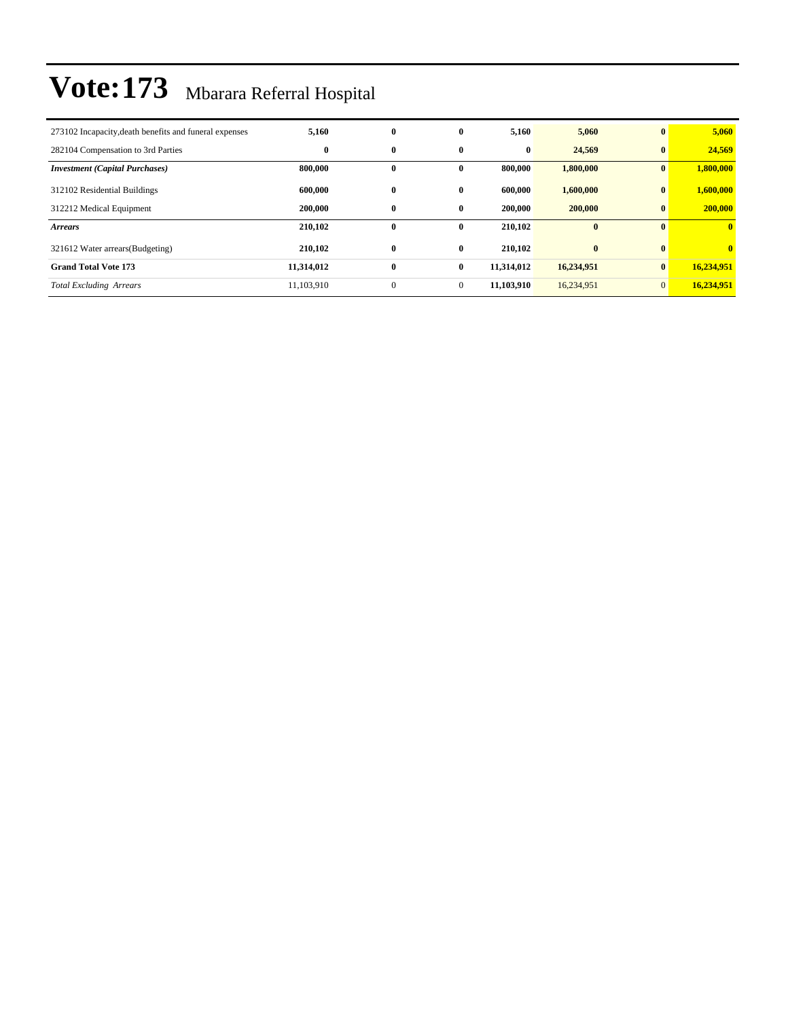| 273102 Incapacity, death benefits and funeral expenses | 5,160      | $\bf{0}$     | $\bf{0}$     | 5,160      | 5,060      | $\bf{0}$     | 5,060        |
|--------------------------------------------------------|------------|--------------|--------------|------------|------------|--------------|--------------|
| 282104 Compensation to 3rd Parties                     | $\bf{0}$   | $\bf{0}$     | $\bf{0}$     | $\bf{0}$   | 24,569     | $\bf{0}$     | 24,569       |
| <b>Investment (Capital Purchases)</b>                  | 800,000    | $\bf{0}$     | $\mathbf{0}$ | 800,000    | 1,800,000  | $\bf{0}$     | 1,800,000    |
| 312102 Residential Buildings                           | 600,000    | $\bf{0}$     | 0            | 600.000    | 1,600,000  | $\bf{0}$     | 1,600,000    |
| 312212 Medical Equipment                               | 200,000    | $\bf{0}$     | 0            | 200,000    | 200,000    | $\bf{0}$     | 200,000      |
| <b>Arrears</b>                                         | 210,102    | $\bf{0}$     | 0            | 210,102    | $\bf{0}$   | $\mathbf{0}$ | $\mathbf{0}$ |
| 321612 Water arrears (Budgeting)                       | 210,102    | $\bf{0}$     | $\bf{0}$     | 210.102    | $\bf{0}$   | $\mathbf{0}$ | $\mathbf{0}$ |
| <b>Grand Total Vote 173</b>                            | 11,314,012 | $\bf{0}$     | $\bf{0}$     | 11,314,012 | 16,234,951 | $\mathbf{0}$ | 16,234,951   |
| <b>Total Excluding Arrears</b>                         | 11,103,910 | $\mathbf{0}$ | $\mathbf{0}$ | 11.103.910 | 16,234,951 | $\mathbf{0}$ | 16.234.951   |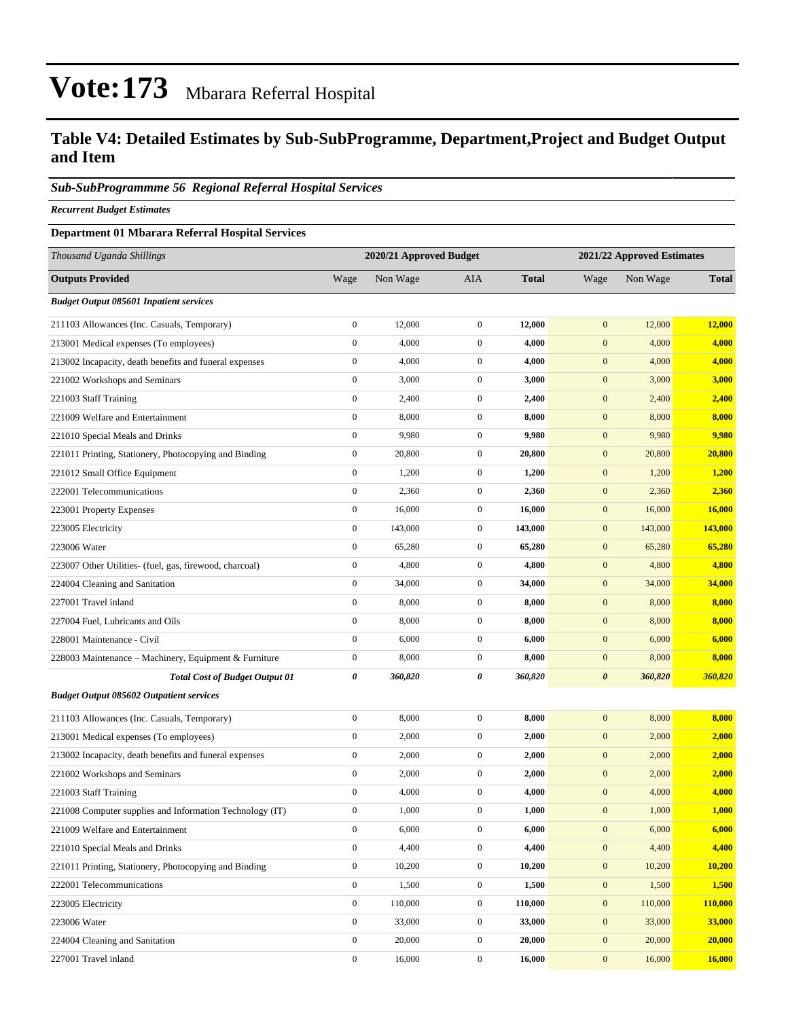### **Table V4: Detailed Estimates by Sub-SubProgramme, Department,Project and Budget Output and Item**

#### *Sub-SubProgrammme 56 Regional Referral Hospital Services*

*Recurrent Budget Estimates*

#### **Department 01 Mbarara Referral Hospital Services**

| Thousand Uganda Shillings                                |                  | 2020/21 Approved Budget |                  |              | 2021/22 Approved Estimates |          |              |
|----------------------------------------------------------|------------------|-------------------------|------------------|--------------|----------------------------|----------|--------------|
| <b>Outputs Provided</b>                                  | Wage             | Non Wage                | <b>AIA</b>       | <b>Total</b> | Wage                       | Non Wage | <b>Total</b> |
| <b>Budget Output 085601 Inpatient services</b>           |                  |                         |                  |              |                            |          |              |
| 211103 Allowances (Inc. Casuals, Temporary)              | $\boldsymbol{0}$ | 12,000                  | $\boldsymbol{0}$ | 12,000       | $\mathbf{0}$               | 12,000   | 12,000       |
| 213001 Medical expenses (To employees)                   | $\boldsymbol{0}$ | 4,000                   | $\boldsymbol{0}$ | 4,000        | $\boldsymbol{0}$           | 4,000    | 4,000        |
| 213002 Incapacity, death benefits and funeral expenses   | $\boldsymbol{0}$ | 4,000                   | $\mathbf{0}$     | 4,000        | $\mathbf{0}$               | 4,000    | 4,000        |
| 221002 Workshops and Seminars                            | $\boldsymbol{0}$ | 3,000                   | $\mathbf{0}$     | 3,000        | $\mathbf{0}$               | 3,000    | 3,000        |
| 221003 Staff Training                                    | $\boldsymbol{0}$ | 2,400                   | $\boldsymbol{0}$ | 2,400        | $\boldsymbol{0}$           | 2,400    | 2,400        |
| 221009 Welfare and Entertainment                         | $\boldsymbol{0}$ | 8,000                   | $\mathbf{0}$     | 8,000        | $\boldsymbol{0}$           | 8,000    | 8,000        |
| 221010 Special Meals and Drinks                          | $\boldsymbol{0}$ | 9,980                   | $\mathbf{0}$     | 9,980        | $\boldsymbol{0}$           | 9,980    | 9,980        |
| 221011 Printing, Stationery, Photocopying and Binding    | $\boldsymbol{0}$ | 20,800                  | $\mathbf{0}$     | 20,800       | $\mathbf{0}$               | 20,800   | 20,800       |
| 221012 Small Office Equipment                            | $\boldsymbol{0}$ | 1,200                   | $\mathbf{0}$     | 1,200        | $\mathbf{0}$               | 1,200    | 1,200        |
| 222001 Telecommunications                                | $\boldsymbol{0}$ | 2,360                   | $\boldsymbol{0}$ | 2,360        | $\boldsymbol{0}$           | 2,360    | 2,360        |
| 223001 Property Expenses                                 | $\boldsymbol{0}$ | 16,000                  | $\mathbf{0}$     | 16,000       | $\boldsymbol{0}$           | 16,000   | 16,000       |
| 223005 Electricity                                       | $\boldsymbol{0}$ | 143,000                 | $\mathbf{0}$     | 143,000      | $\boldsymbol{0}$           | 143,000  | 143,000      |
| 223006 Water                                             | $\boldsymbol{0}$ | 65,280                  | $\mathbf{0}$     | 65,280       | $\mathbf{0}$               | 65,280   | 65,280       |
| 223007 Other Utilities- (fuel, gas, firewood, charcoal)  | $\boldsymbol{0}$ | 4,800                   | $\mathbf{0}$     | 4,800        | $\mathbf{0}$               | 4,800    | 4,800        |
| 224004 Cleaning and Sanitation                           | $\boldsymbol{0}$ | 34,000                  | $\mathbf{0}$     | 34,000       | $\boldsymbol{0}$           | 34,000   | 34,000       |
| 227001 Travel inland                                     | $\boldsymbol{0}$ | 8,000                   | $\mathbf{0}$     | 8,000        | $\boldsymbol{0}$           | 8,000    | 8,000        |
| 227004 Fuel, Lubricants and Oils                         | $\boldsymbol{0}$ | 8,000                   | $\mathbf{0}$     | 8,000        | $\boldsymbol{0}$           | 8,000    | 8,000        |
| 228001 Maintenance - Civil                               | $\boldsymbol{0}$ | 6,000                   | $\mathbf{0}$     | 6,000        | $\mathbf{0}$               | 6,000    | 6,000        |
| 228003 Maintenance - Machinery, Equipment & Furniture    | $\boldsymbol{0}$ | 8,000                   | $\mathbf{0}$     | 8,000        | $\boldsymbol{0}$           | 8,000    | 8,000        |
| <b>Total Cost of Budget Output 01</b>                    | 0                | 360,820                 | 0                | 360,820      | $\boldsymbol{\theta}$      | 360,820  | 360,820      |
| <b>Budget Output 085602 Outpatient services</b>          |                  |                         |                  |              |                            |          |              |
| 211103 Allowances (Inc. Casuals, Temporary)              | $\boldsymbol{0}$ | 8,000                   | $\mathbf{0}$     | 8,000        | $\mathbf{0}$               | 8,000    | 8,000        |
| 213001 Medical expenses (To employees)                   | $\boldsymbol{0}$ | 2,000                   | $\boldsymbol{0}$ | 2,000        | $\boldsymbol{0}$           | 2,000    | 2,000        |
| 213002 Incapacity, death benefits and funeral expenses   | $\boldsymbol{0}$ | 2,000                   | $\mathbf{0}$     | 2,000        | $\boldsymbol{0}$           | 2,000    | 2,000        |
| 221002 Workshops and Seminars                            | $\boldsymbol{0}$ | 2,000                   | $\mathbf{0}$     | 2,000        | $\boldsymbol{0}$           | 2,000    | 2,000        |
| 221003 Staff Training                                    | $\boldsymbol{0}$ | 4,000                   | $\mathbf{0}$     | 4,000        | $\boldsymbol{0}$           | 4,000    | 4,000        |
| 221008 Computer supplies and Information Technology (IT) | $\boldsymbol{0}$ | 1,000                   | $\mathbf{0}$     | 1,000        | $\mathbf{0}$               | 1,000    | 1,000        |
| 221009 Welfare and Entertainment                         | $\boldsymbol{0}$ | 6,000                   | $\boldsymbol{0}$ | 6,000        | $\boldsymbol{0}$           | 6,000    | 6,000        |
| 221010 Special Meals and Drinks                          | $\boldsymbol{0}$ | 4,400                   | $\boldsymbol{0}$ | 4,400        | $\boldsymbol{0}$           | 4,400    | 4,400        |
| 221011 Printing, Stationery, Photocopying and Binding    | $\boldsymbol{0}$ | 10,200                  | $\boldsymbol{0}$ | 10,200       | $\mathbf{0}$               | 10,200   | 10,200       |
| 222001 Telecommunications                                | $\mathbf{0}$     | 1,500                   | $\boldsymbol{0}$ | 1,500        | $\boldsymbol{0}$           | 1,500    | 1,500        |
| 223005 Electricity                                       | $\overline{0}$   | 110,000                 | $\boldsymbol{0}$ | 110,000      | $\mathbf{0}$               | 110,000  | 110,000      |
| 223006 Water                                             | $\boldsymbol{0}$ | 33,000                  | $\boldsymbol{0}$ | 33,000       | $\boldsymbol{0}$           | 33,000   | 33,000       |
| 224004 Cleaning and Sanitation                           | $\boldsymbol{0}$ | 20,000                  | $\boldsymbol{0}$ | 20,000       | $\boldsymbol{0}$           | 20,000   | 20,000       |
| 227001 Travel inland                                     | $\boldsymbol{0}$ | 16,000                  | $\mathbf{0}$     | 16,000       | $\mathbf{0}$               | 16,000   | 16,000       |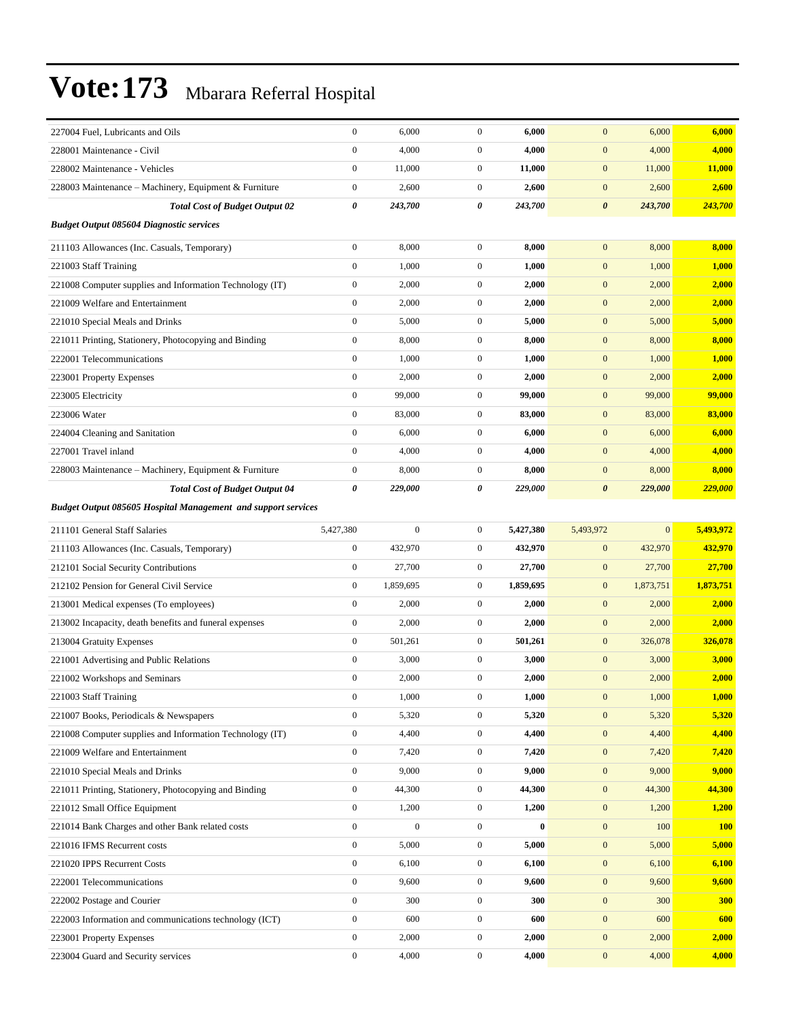| 227004 Fuel, Lubricants and Oils                                     | $\boldsymbol{0}$      | 6,000            | $\boldsymbol{0}$ | 6,000     | $\mathbf{0}$          | 6,000        | 6,000      |
|----------------------------------------------------------------------|-----------------------|------------------|------------------|-----------|-----------------------|--------------|------------|
| 228001 Maintenance - Civil                                           | $\boldsymbol{0}$      | 4,000            | $\boldsymbol{0}$ | 4,000     | $\mathbf{0}$          | 4,000        | 4,000      |
| 228002 Maintenance - Vehicles                                        | $\boldsymbol{0}$      | 11,000           | $\mathbf{0}$     | 11,000    | $\mathbf{0}$          | 11,000       | 11,000     |
| 228003 Maintenance – Machinery, Equipment & Furniture                | $\boldsymbol{0}$      | 2,600            | $\mathbf{0}$     | 2,600     | $\boldsymbol{0}$      | 2,600        | 2,600      |
| <b>Total Cost of Budget Output 02</b>                                | 0                     | 243,700          | 0                | 243,700   | $\boldsymbol{\theta}$ | 243,700      | 243,700    |
| <b>Budget Output 085604 Diagnostic services</b>                      |                       |                  |                  |           |                       |              |            |
| 211103 Allowances (Inc. Casuals, Temporary)                          | $\boldsymbol{0}$      | 8,000            | $\boldsymbol{0}$ | 8,000     | $\mathbf{0}$          | 8,000        | 8,000      |
| 221003 Staff Training                                                | $\boldsymbol{0}$      | 1,000            | $\mathbf{0}$     | 1,000     | $\boldsymbol{0}$      | 1,000        | 1,000      |
| 221008 Computer supplies and Information Technology (IT)             | $\boldsymbol{0}$      | 2,000            | $\mathbf{0}$     | 2,000     | $\mathbf{0}$          | 2,000        | 2,000      |
| 221009 Welfare and Entertainment                                     | $\boldsymbol{0}$      | 2,000            | $\boldsymbol{0}$ | 2,000     | $\mathbf{0}$          | 2,000        | 2,000      |
| 221010 Special Meals and Drinks                                      | $\boldsymbol{0}$      | 5,000            | $\mathbf{0}$     | 5,000     | $\mathbf{0}$          | 5,000        | 5,000      |
| 221011 Printing, Stationery, Photocopying and Binding                | $\boldsymbol{0}$      | 8,000            | $\overline{0}$   | 8,000     | $\mathbf{0}$          | 8,000        | 8,000      |
| 222001 Telecommunications                                            | $\boldsymbol{0}$      | 1,000            | $\boldsymbol{0}$ | 1,000     | $\mathbf{0}$          | 1,000        | 1,000      |
| 223001 Property Expenses                                             | $\boldsymbol{0}$      | 2,000            | $\mathbf{0}$     | 2,000     | $\mathbf{0}$          | 2,000        | 2,000      |
| 223005 Electricity                                                   | $\boldsymbol{0}$      | 99,000           | $\mathbf{0}$     | 99,000    | $\mathbf{0}$          | 99,000       | 99,000     |
| 223006 Water                                                         | $\boldsymbol{0}$      | 83,000           | $\boldsymbol{0}$ | 83,000    | $\mathbf{0}$          | 83,000       | 83,000     |
| 224004 Cleaning and Sanitation                                       | $\boldsymbol{0}$      | 6,000            | $\boldsymbol{0}$ | 6,000     | $\mathbf{0}$          | 6,000        | 6,000      |
| 227001 Travel inland                                                 | $\mathbf{0}$          | 4,000            | $\overline{0}$   | 4,000     | $\mathbf{0}$          | 4,000        | 4,000      |
| 228003 Maintenance – Machinery, Equipment & Furniture                | $\boldsymbol{0}$      | 8,000            | $\mathbf{0}$     | 8,000     | $\mathbf{0}$          | 8,000        | 8,000      |
| <b>Total Cost of Budget Output 04</b>                                | $\boldsymbol{\theta}$ | 229,000          | 0                | 229,000   | $\boldsymbol{\theta}$ | 229,000      | 229,000    |
| <b>Budget Output 085605 Hospital Management and support services</b> |                       |                  |                  |           |                       |              |            |
| 211101 General Staff Salaries                                        | 5,427,380             | $\boldsymbol{0}$ | $\mathbf{0}$     | 5,427,380 | 5,493,972             | $\mathbf{0}$ | 5,493,972  |
| 211103 Allowances (Inc. Casuals, Temporary)                          | $\boldsymbol{0}$      | 432,970          | $\boldsymbol{0}$ | 432,970   | $\mathbf{0}$          | 432,970      | 432,970    |
| 212101 Social Security Contributions                                 | $\boldsymbol{0}$      | 27,700           | $\boldsymbol{0}$ | 27,700    | $\mathbf{0}$          | 27,700       | 27,700     |
| 212102 Pension for General Civil Service                             | $\boldsymbol{0}$      | 1,859,695        | $\mathbf{0}$     | 1,859,695 | $\mathbf{0}$          | 1,873,751    | 1,873,751  |
| 213001 Medical expenses (To employees)                               | $\boldsymbol{0}$      | 2,000            | $\mathbf{0}$     | 2,000     | $\mathbf{0}$          | 2,000        | 2,000      |
| 213002 Incapacity, death benefits and funeral expenses               | $\boldsymbol{0}$      | 2,000            | $\mathbf{0}$     | 2,000     | $\mathbf{0}$          | 2,000        | 2,000      |
| 213004 Gratuity Expenses                                             | $\boldsymbol{0}$      | 501,261          | $\boldsymbol{0}$ | 501,261   | $\mathbf{0}$          | 326,078      | 326,078    |
| 221001 Advertising and Public Relations                              | $\boldsymbol{0}$      | 3,000            | $\overline{0}$   | 3,000     | $\mathbf{0}$          | 3,000        | 3,000      |
| 221002 Workshops and Seminars                                        | $\boldsymbol{0}$      | 2,000            | $\mathbf{0}$     | 2,000     | $\mathbf{0}$          | 2,000        | 2,000      |
| 221003 Staff Training                                                | $\boldsymbol{0}$      | 1,000            | $\overline{0}$   | 1,000     | $\mathbf{0}$          | 1,000        | 1,000      |
| 221007 Books, Periodicals & Newspapers                               | $\boldsymbol{0}$      | 5,320            | $\boldsymbol{0}$ | 5,320     | $\boldsymbol{0}$      | 5,320        | 5,320      |
| 221008 Computer supplies and Information Technology (IT)             | $\boldsymbol{0}$      | 4,400            | $\boldsymbol{0}$ | 4,400     | $\boldsymbol{0}$      | 4,400        | 4,400      |
| 221009 Welfare and Entertainment                                     | $\boldsymbol{0}$      | 7,420            | $\boldsymbol{0}$ | 7,420     | $\boldsymbol{0}$      | 7,420        | 7,420      |
| 221010 Special Meals and Drinks                                      | $\boldsymbol{0}$      | 9,000            | $\mathbf{0}$     | 9,000     | $\mathbf{0}$          | 9,000        | 9,000      |
| 221011 Printing, Stationery, Photocopying and Binding                | $\mathbf{0}$          | 44,300           | $\boldsymbol{0}$ | 44,300    | $\boldsymbol{0}$      | 44,300       | 44,300     |
| 221012 Small Office Equipment                                        | $\boldsymbol{0}$      | 1,200            | $\boldsymbol{0}$ | 1,200     | $\boldsymbol{0}$      | 1,200        | 1,200      |
| 221014 Bank Charges and other Bank related costs                     | $\boldsymbol{0}$      | $\boldsymbol{0}$ | $\boldsymbol{0}$ | $\bf{0}$  | $\boldsymbol{0}$      | 100          | <b>100</b> |
| 221016 IFMS Recurrent costs                                          | $\boldsymbol{0}$      | 5,000            | $\boldsymbol{0}$ | 5,000     | $\boldsymbol{0}$      | 5,000        | 5,000      |
| 221020 IPPS Recurrent Costs                                          | $\boldsymbol{0}$      | 6,100            | $\boldsymbol{0}$ | 6,100     | $\mathbf{0}$          | 6,100        | 6,100      |
| 222001 Telecommunications                                            | $\mathbf{0}$          | 9,600            | $\boldsymbol{0}$ | 9,600     | $\boldsymbol{0}$      | 9,600        | 9,600      |
| 222002 Postage and Courier                                           | $\boldsymbol{0}$      | 300              | $\boldsymbol{0}$ | 300       | $\boldsymbol{0}$      | 300          | 300        |
| 222003 Information and communications technology (ICT)               | $\boldsymbol{0}$      | 600              | $\overline{0}$   | 600       | $\boldsymbol{0}$      | 600          | 600        |
| 223001 Property Expenses                                             | $\boldsymbol{0}$      | 2,000            | $\boldsymbol{0}$ | 2,000     | $\boldsymbol{0}$      | 2,000        | 2,000      |
|                                                                      |                       |                  |                  |           |                       |              |            |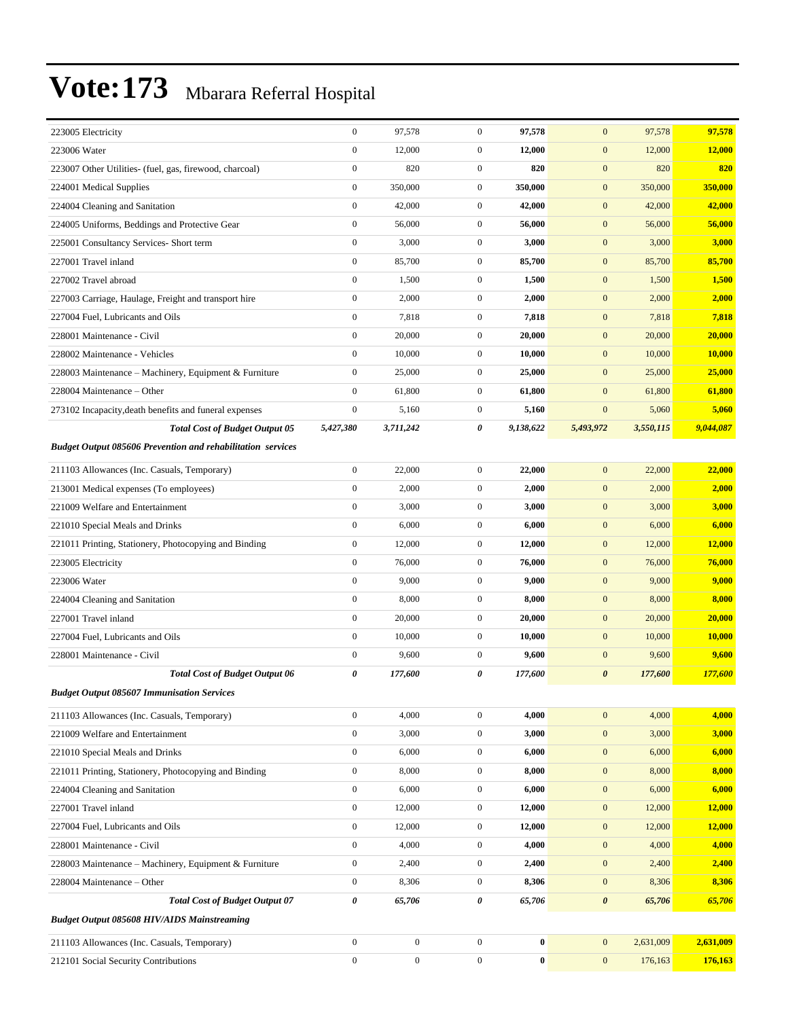| 223005 Electricity                                                 | $\boldsymbol{0}$ | 97,578           | $\mathbf{0}$     | 97,578    | $\mathbf{0}$          | 97,578    | 97,578        |
|--------------------------------------------------------------------|------------------|------------------|------------------|-----------|-----------------------|-----------|---------------|
| 223006 Water                                                       | $\boldsymbol{0}$ | 12,000           | $\mathbf{0}$     | 12,000    | $\boldsymbol{0}$      | 12,000    | 12,000        |
| 223007 Other Utilities- (fuel, gas, firewood, charcoal)            | $\boldsymbol{0}$ | 820              | $\mathbf{0}$     | 820       | $\mathbf{0}$          | 820       | 820           |
| 224001 Medical Supplies                                            | $\boldsymbol{0}$ | 350,000          | $\mathbf{0}$     | 350,000   | $\mathbf{0}$          | 350,000   | 350,000       |
| 224004 Cleaning and Sanitation                                     | $\mathbf{0}$     | 42,000           | $\mathbf{0}$     | 42,000    | $\mathbf{0}$          | 42,000    | 42,000        |
| 224005 Uniforms, Beddings and Protective Gear                      | $\boldsymbol{0}$ | 56,000           | $\mathbf{0}$     | 56,000    | $\mathbf{0}$          | 56,000    | 56,000        |
| 225001 Consultancy Services- Short term                            | $\boldsymbol{0}$ | 3,000            | $\overline{0}$   | 3,000     | $\mathbf{0}$          | 3,000     | 3,000         |
| 227001 Travel inland                                               | $\boldsymbol{0}$ | 85,700           | $\mathbf{0}$     | 85,700    | $\mathbf{0}$          | 85,700    | 85,700        |
| 227002 Travel abroad                                               | $\boldsymbol{0}$ | 1,500            | $\mathbf{0}$     | 1,500     | $\mathbf{0}$          | 1,500     | 1,500         |
| 227003 Carriage, Haulage, Freight and transport hire               | $\boldsymbol{0}$ | 2,000            | $\mathbf{0}$     | 2,000     | $\mathbf{0}$          | 2,000     | 2,000         |
| 227004 Fuel, Lubricants and Oils                                   | $\boldsymbol{0}$ | 7,818            | $\mathbf{0}$     | 7,818     | $\mathbf{0}$          | 7,818     | 7,818         |
| 228001 Maintenance - Civil                                         | $\boldsymbol{0}$ | 20,000           | $\overline{0}$   | 20,000    | $\mathbf{0}$          | 20,000    | 20,000        |
| 228002 Maintenance - Vehicles                                      | $\boldsymbol{0}$ | 10,000           | $\mathbf{0}$     | 10,000    | $\mathbf{0}$          | 10,000    | <b>10,000</b> |
| 228003 Maintenance - Machinery, Equipment & Furniture              | $\boldsymbol{0}$ | 25,000           | $\mathbf{0}$     | 25,000    | $\mathbf{0}$          | 25,000    | 25,000        |
| 228004 Maintenance – Other                                         | $\mathbf{0}$     | 61,800           | $\mathbf{0}$     | 61,800    | $\mathbf{0}$          | 61,800    | 61,800        |
| 273102 Incapacity, death benefits and funeral expenses             | $\boldsymbol{0}$ | 5,160            | $\mathbf{0}$     | 5,160     | $\boldsymbol{0}$      | 5,060     | 5,060         |
| <b>Total Cost of Budget Output 05</b>                              | 5,427,380        | 3,711,242        | 0                | 9,138,622 | 5,493,972             | 3,550,115 | 9,044,087     |
| <b>Budget Output 085606 Prevention and rehabilitation services</b> |                  |                  |                  |           |                       |           |               |
| 211103 Allowances (Inc. Casuals, Temporary)                        | $\boldsymbol{0}$ | 22,000           | $\mathbf{0}$     | 22,000    | $\mathbf{0}$          | 22,000    | 22,000        |
| 213001 Medical expenses (To employees)                             | $\boldsymbol{0}$ | 2,000            | $\mathbf{0}$     | 2,000     | $\mathbf{0}$          | 2,000     | 2,000         |
| 221009 Welfare and Entertainment                                   | $\boldsymbol{0}$ | 3,000            | $\mathbf{0}$     | 3,000     | $\mathbf{0}$          | 3,000     | 3,000         |
| 221010 Special Meals and Drinks                                    | $\boldsymbol{0}$ | 6,000            | $\mathbf{0}$     | 6,000     | $\mathbf{0}$          | 6,000     | 6,000         |
| 221011 Printing, Stationery, Photocopying and Binding              | $\boldsymbol{0}$ | 12,000           | $\overline{0}$   | 12,000    | $\mathbf{0}$          | 12,000    | 12,000        |
| 223005 Electricity                                                 | $\boldsymbol{0}$ | 76,000           | $\mathbf{0}$     | 76,000    | $\mathbf{0}$          | 76,000    | 76,000        |
| 223006 Water                                                       | $\boldsymbol{0}$ | 9,000            | $\mathbf{0}$     | 9,000     | $\mathbf{0}$          | 9,000     | 9,000         |
| 224004 Cleaning and Sanitation                                     | $\boldsymbol{0}$ | 8,000            | $\mathbf{0}$     | 8,000     | $\mathbf{0}$          | 8,000     | 8,000         |
| 227001 Travel inland                                               | $\boldsymbol{0}$ | 20,000           | $\mathbf{0}$     | 20,000    | $\mathbf{0}$          | 20,000    | 20,000        |
| 227004 Fuel, Lubricants and Oils                                   | $\boldsymbol{0}$ | 10,000           | $\overline{0}$   | 10,000    | $\mathbf{0}$          | 10,000    | <b>10,000</b> |
| 228001 Maintenance - Civil                                         | $\boldsymbol{0}$ | 9,600            | $\mathbf{0}$     | 9,600     | $\mathbf{0}$          | 9,600     | 9,600         |
| <b>Total Cost of Budget Output 06</b>                              | $\pmb{\theta}$   | 177,600          | 0                | 177,600   | $\boldsymbol{\theta}$ | 177,600   | 177,600       |
| <b>Budget Output 085607 Immunisation Services</b>                  |                  |                  |                  |           |                       |           |               |
| 211103 Allowances (Inc. Casuals, Temporary)                        | $\boldsymbol{0}$ | 4,000            | $\mathbf{0}$     | 4,000     | $\mathbf{0}$          | 4,000     | 4,000         |
| 221009 Welfare and Entertainment                                   | $\boldsymbol{0}$ | 3,000            | $\overline{0}$   | 3,000     | $\mathbf{0}$          | 3,000     | 3,000         |
| 221010 Special Meals and Drinks                                    | $\boldsymbol{0}$ | 6,000            | $\boldsymbol{0}$ | 6,000     | $\boldsymbol{0}$      | 6,000     | 6,000         |
| 221011 Printing, Stationery, Photocopying and Binding              | $\boldsymbol{0}$ | 8,000            | $\boldsymbol{0}$ | 8,000     | $\mathbf{0}$          | 8,000     | 8,000         |
| 224004 Cleaning and Sanitation                                     | $\boldsymbol{0}$ | 6,000            | $\boldsymbol{0}$ | 6,000     | $\mathbf{0}$          | 6,000     | 6,000         |
| 227001 Travel inland                                               | $\boldsymbol{0}$ | 12,000           | $\boldsymbol{0}$ | 12,000    | $\mathbf{0}$          | 12,000    | 12,000        |
| 227004 Fuel, Lubricants and Oils                                   | $\boldsymbol{0}$ | 12,000           | $\mathbf{0}$     | 12,000    | $\mathbf{0}$          | 12,000    | 12,000        |
| 228001 Maintenance - Civil                                         | $\boldsymbol{0}$ | 4,000            | $\boldsymbol{0}$ | 4,000     | $\boldsymbol{0}$      | 4,000     | 4,000         |
| 228003 Maintenance – Machinery, Equipment & Furniture              | $\boldsymbol{0}$ | 2,400            | $\boldsymbol{0}$ | 2,400     | $\mathbf{0}$          | 2,400     | 2,400         |
| 228004 Maintenance – Other                                         | $\boldsymbol{0}$ | 8,306            | $\overline{0}$   | 8,306     | $\mathbf{0}$          | 8,306     | 8,306         |
| <b>Total Cost of Budget Output 07</b>                              | $\pmb{\theta}$   | 65,706           | 0                | 65,706    | $\boldsymbol{\theta}$ | 65,706    | 65,706        |
| <b>Budget Output 085608 HIV/AIDS Mainstreaming</b>                 |                  |                  |                  |           |                       |           |               |
| 211103 Allowances (Inc. Casuals, Temporary)                        | $\boldsymbol{0}$ | $\boldsymbol{0}$ | $\mathbf{0}$     | $\bf{0}$  | $\mathbf{0}$          | 2,631,009 | 2,631,009     |
| 212101 Social Security Contributions                               | $\boldsymbol{0}$ | $\boldsymbol{0}$ | $\boldsymbol{0}$ | $\bf{0}$  | $\mathbf{0}$          | 176,163   | 176,163       |
|                                                                    |                  |                  |                  |           |                       |           |               |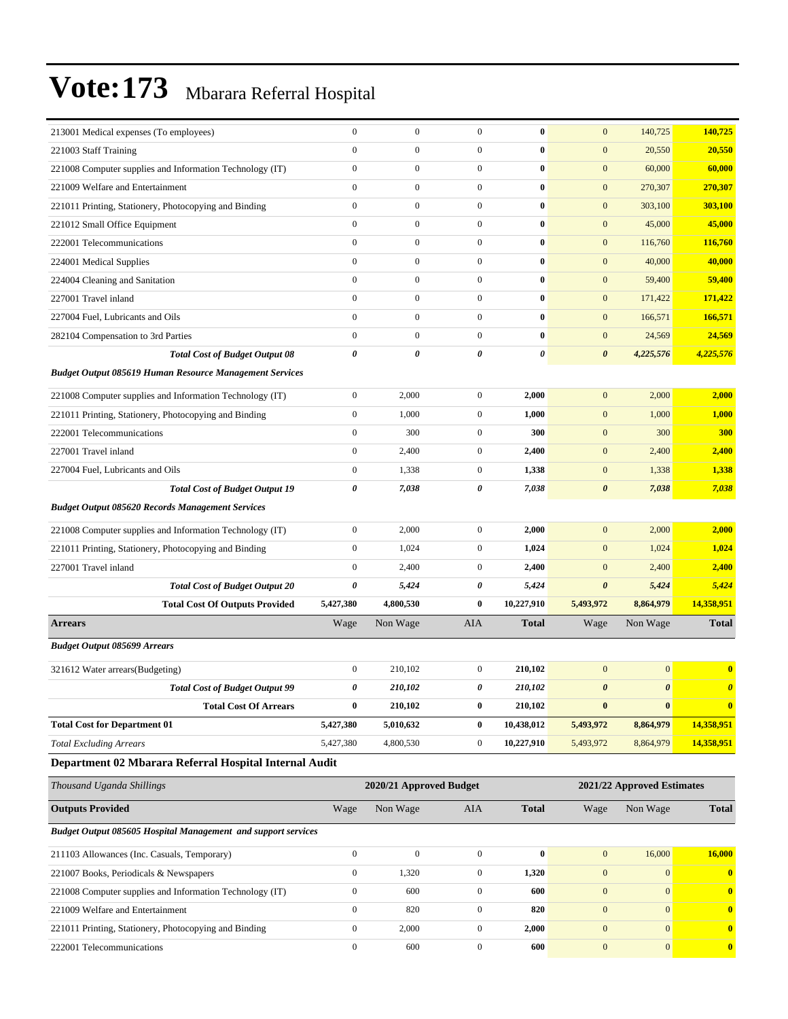| 213001 Medical expenses (To employees)                         | $\mathbf{0}$     | $\boldsymbol{0}$        | $\overline{0}$   | $\bf{0}$       | $\mathbf{0}$          | 140,725                    | 140,725               |
|----------------------------------------------------------------|------------------|-------------------------|------------------|----------------|-----------------------|----------------------------|-----------------------|
| 221003 Staff Training                                          | $\mathbf{0}$     | $\boldsymbol{0}$        | $\overline{0}$   | $\bf{0}$       | $\mathbf{0}$          | 20,550                     | 20,550                |
| 221008 Computer supplies and Information Technology (IT)       | $\mathbf{0}$     | $\boldsymbol{0}$        | $\overline{0}$   | $\bf{0}$       | $\mathbf{0}$          | 60,000                     | 60,000                |
| 221009 Welfare and Entertainment                               | $\mathbf{0}$     | $\boldsymbol{0}$        | $\overline{0}$   | $\bf{0}$       | $\mathbf{0}$          | 270,307                    | 270,307               |
| 221011 Printing, Stationery, Photocopying and Binding          | $\boldsymbol{0}$ | $\boldsymbol{0}$        | $\boldsymbol{0}$ | $\bf{0}$       | $\boldsymbol{0}$      | 303,100                    | 303,100               |
| 221012 Small Office Equipment                                  | $\mathbf{0}$     | $\boldsymbol{0}$        | $\overline{0}$   | $\bf{0}$       | $\mathbf{0}$          | 45,000                     | 45,000                |
| 222001 Telecommunications                                      | $\mathbf{0}$     | $\boldsymbol{0}$        | $\mathbf{0}$     | $\bf{0}$       | $\mathbf{0}$          | 116,760                    | 116,760               |
| 224001 Medical Supplies                                        | $\mathbf{0}$     | $\boldsymbol{0}$        | $\overline{0}$   | $\bf{0}$       | $\mathbf{0}$          | 40,000                     | 40,000                |
| 224004 Cleaning and Sanitation                                 | $\mathbf{0}$     | $\boldsymbol{0}$        | $\overline{0}$   | $\bf{0}$       | $\mathbf{0}$          | 59,400                     | 59,400                |
| 227001 Travel inland                                           | $\boldsymbol{0}$ | $\boldsymbol{0}$        | $\overline{0}$   | $\bf{0}$       | $\boldsymbol{0}$      | 171,422                    | 171,422               |
| 227004 Fuel, Lubricants and Oils                               | $\mathbf{0}$     | $\boldsymbol{0}$        | $\overline{0}$   | $\bf{0}$       | $\mathbf{0}$          | 166,571                    | 166,571               |
| 282104 Compensation to 3rd Parties                             | $\boldsymbol{0}$ | $\boldsymbol{0}$        | $\mathbf{0}$     | $\bf{0}$       | $\mathbf{0}$          | 24,569                     | 24,569                |
| <b>Total Cost of Budget Output 08</b>                          | 0                | 0                       | 0                | $\pmb{\theta}$ | $\boldsymbol{\theta}$ | 4,225,576                  | 4,225,576             |
| <b>Budget Output 085619 Human Resource Management Services</b> |                  |                         |                  |                |                       |                            |                       |
| 221008 Computer supplies and Information Technology (IT)       | $\boldsymbol{0}$ | 2,000                   | $\overline{0}$   | 2,000          | $\mathbf{0}$          | 2,000                      | 2,000                 |
| 221011 Printing, Stationery, Photocopying and Binding          | $\boldsymbol{0}$ | 1,000                   | $\overline{0}$   | 1,000          | $\mathbf{0}$          | 1,000                      | 1,000                 |
| 222001 Telecommunications                                      | $\mathbf{0}$     | 300                     | $\overline{0}$   | 300            | $\mathbf{0}$          | 300                        | 300                   |
| 227001 Travel inland                                           | $\boldsymbol{0}$ | 2,400                   | $\mathbf{0}$     | 2,400          | $\mathbf{0}$          | 2,400                      | 2,400                 |
| 227004 Fuel, Lubricants and Oils                               | $\boldsymbol{0}$ | 1,338                   | $\overline{0}$   | 1,338          | $\boldsymbol{0}$      | 1,338                      | 1,338                 |
| <b>Total Cost of Budget Output 19</b>                          | 0                | 7,038                   | 0                | 7,038          | $\boldsymbol{\theta}$ | 7,038                      | 7,038                 |
| <b>Budget Output 085620 Records Management Services</b>        |                  |                         |                  |                |                       |                            |                       |
| 221008 Computer supplies and Information Technology (IT)       | $\boldsymbol{0}$ | 2,000                   | $\overline{0}$   | 2,000          | $\mathbf{0}$          | 2,000                      | 2,000                 |
| 221011 Printing, Stationery, Photocopying and Binding          | $\mathbf{0}$     | 1,024                   | $\overline{0}$   | 1,024          | $\mathbf{0}$          | 1,024                      | 1,024                 |
| 227001 Travel inland                                           | $\boldsymbol{0}$ | 2,400                   | $\mathbf{0}$     | 2,400          | $\mathbf{0}$          | 2,400                      | 2,400                 |
| <b>Total Cost of Budget Output 20</b>                          | 0                | 5,424                   | 0                | 5,424          | $\pmb{\theta}$        | 5,424                      | 5,424                 |
| <b>Total Cost Of Outputs Provided</b>                          | 5,427,380        | 4,800,530               | $\bf{0}$         | 10,227,910     | 5,493,972             | 8,864,979                  | 14,358,951            |
| <b>Arrears</b>                                                 | Wage             | Non Wage                | AIA              | <b>Total</b>   | Wage                  | Non Wage                   | <b>Total</b>          |
| <b>Budget Output 085699 Arrears</b>                            |                  |                         |                  |                |                       |                            |                       |
| 321612 Water arrears(Budgeting)                                | $\boldsymbol{0}$ | 210,102                 | $\overline{0}$   | 210,102        | $\mathbf{0}$          | $\boldsymbol{0}$           | $\bf{0}$              |
| <b>Total Cost of Budget Output 99</b>                          | 0                | 210,102                 | 0                | 210,102        | $\boldsymbol{\theta}$ | $\boldsymbol{\theta}$      | $\boldsymbol{\theta}$ |
| <b>Total Cost Of Arrears</b>                                   | $\bf{0}$         | 210,102                 | $\bf{0}$         | 210,102        | $\bf{0}$              | $\bf{0}$                   | $\bf{0}$              |
| <b>Total Cost for Department 01</b>                            | 5,427,380        | 5,010,632               | $\bf{0}$         | 10,438,012     | 5,493,972             | 8,864,979                  | 14,358,951            |
| <b>Total Excluding Arrears</b>                                 | 5,427,380        | 4,800,530               | $\overline{0}$   | 10,227,910     | 5,493,972             | 8,864,979                  | 14,358,951            |
| Department 02 Mbarara Referral Hospital Internal Audit         |                  |                         |                  |                |                       |                            |                       |
| Thousand Uganda Shillings                                      |                  | 2020/21 Approved Budget |                  |                |                       | 2021/22 Approved Estimates |                       |
| <b>Outputs Provided</b>                                        | Wage             | Non Wage                | AIA              | <b>Total</b>   | Wage                  | Non Wage                   | <b>Total</b>          |
| Budget Output 085605 Hospital Management and support services  |                  |                         |                  |                |                       |                            |                       |
| 211103 Allowances (Inc. Casuals, Temporary)                    | $\boldsymbol{0}$ | $\boldsymbol{0}$        | $\overline{0}$   | $\bf{0}$       | $\mathbf{0}$          | 16,000                     | 16,000                |
| 221007 Books, Periodicals & Newspapers                         | $\boldsymbol{0}$ | 1,320                   | $\boldsymbol{0}$ | 1,320          | $\boldsymbol{0}$      | $\mathbf{0}$               | $\mathbf{0}$          |
| 221008 Computer supplies and Information Technology (IT)       | $\boldsymbol{0}$ | 600                     | $\mathbf{0}$     | 600            | $\mathbf{0}$          | $\mathbf{0}$               | $\bf{0}$              |
| 221009 Welfare and Entertainment                               | $\boldsymbol{0}$ | 820                     | $\boldsymbol{0}$ | 820            | $\boldsymbol{0}$      | $\mathbf{0}$               | $\bf{0}$              |
| 221011 Printing, Stationery, Photocopying and Binding          | $\mathbf{0}$     | 2,000                   | $\boldsymbol{0}$ | 2,000          | $\mathbf{0}$          | $\vert 0 \vert$            | $\bf{0}$              |
| 222001 Telecommunications                                      | $\boldsymbol{0}$ | 600                     | $\boldsymbol{0}$ | 600            | $\boldsymbol{0}$      | $\mathbf{0}$               | $\mathbf{0}$          |
|                                                                |                  |                         |                  |                |                       |                            |                       |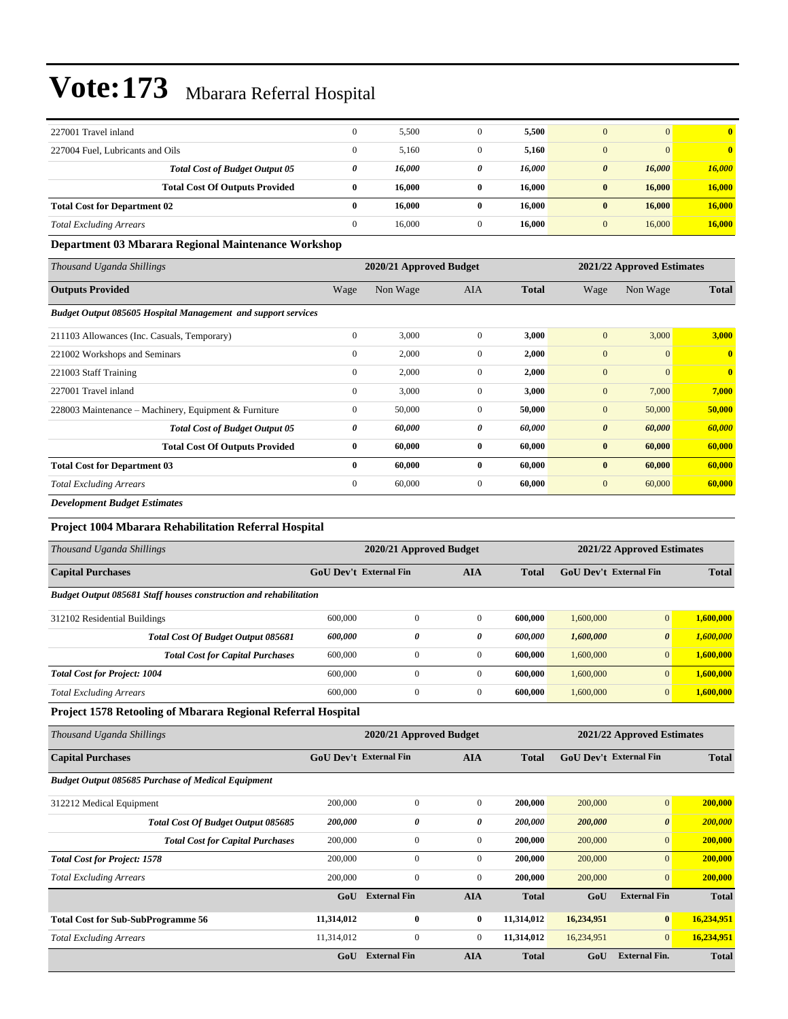| 227001 Travel inland                |                                       | $\mathbf{0}$ | 5,500  |          | 5,500  | $\mathbf{0}$                    | $\mathbf{0}$            |
|-------------------------------------|---------------------------------------|--------------|--------|----------|--------|---------------------------------|-------------------------|
| 227004 Fuel, Lubricants and Oils    |                                       | $\mathbf{0}$ | 5,160  | 0        | 5,160  | $\mathbf{0}$                    | $\overline{\mathbf{0}}$ |
|                                     | <b>Total Cost of Budget Output 05</b> | 0            | 16,000 | 0        | 16,000 | 16,000<br>$\boldsymbol{\theta}$ | 16,000                  |
|                                     | <b>Total Cost Of Outputs Provided</b> | 0            | 16.000 | 0        | 16.000 | 16.000<br>$\bf{0}$              | 16,000                  |
| <b>Total Cost for Department 02</b> |                                       | 0            | 16,000 | 0        | 16.000 | 16.000<br>$\bf{0}$              | 16,000                  |
| <b>Total Excluding Arrears</b>      |                                       | $\Omega$     | 16.000 | $\Omega$ | 16.000 | 16,000                          | 16,000                  |

#### **Department 03 Mbarara Regional Maintenance Workshop**

| Thousand Uganda Shillings                                            |              | 2020/21 Approved Budget |                |              | 2021/22 Approved Estimates |                |                         |  |
|----------------------------------------------------------------------|--------------|-------------------------|----------------|--------------|----------------------------|----------------|-------------------------|--|
| <b>Outputs Provided</b>                                              | Wage         | Non Wage                | <b>AIA</b>     | <b>Total</b> | Wage                       | Non Wage       | <b>Total</b>            |  |
| <b>Budget Output 085605 Hospital Management and support services</b> |              |                         |                |              |                            |                |                         |  |
| 211103 Allowances (Inc. Casuals, Temporary)                          | $\mathbf{0}$ | 3,000                   | $\Omega$       | 3,000        | $\mathbf{0}$               | 3,000          | 3,000                   |  |
| 221002 Workshops and Seminars                                        | $\mathbf{0}$ | 2,000                   | $\mathbf{0}$   | 2,000        | $\mathbf{0}$               | $\overline{0}$ | $\overline{0}$          |  |
| 221003 Staff Training                                                | $\mathbf{0}$ | 2,000                   | $\mathbf{0}$   | 2,000        | $\mathbf{0}$               | $\mathbf{0}$   | $\overline{\mathbf{0}}$ |  |
| 227001 Travel inland                                                 | $\mathbf{0}$ | 3,000                   | $\mathbf{0}$   | 3,000        | $\mathbf{0}$               | 7,000          | 7,000                   |  |
| 228003 Maintenance – Machinery, Equipment & Furniture                | $\mathbf{0}$ | 50,000                  | $\mathbf{0}$   | 50,000       | $\mathbf{0}$               | 50,000         | 50,000                  |  |
| <b>Total Cost of Budget Output 05</b>                                | 0            | 60,000                  | 0              | 60,000       | $\boldsymbol{\theta}$      | 60,000         | 60,000                  |  |
| <b>Total Cost Of Outputs Provided</b>                                | $\bf{0}$     | 60,000                  | $\mathbf{0}$   | 60,000       | $\bf{0}$                   | 60,000         | 60,000                  |  |
| <b>Total Cost for Department 03</b>                                  | $\bf{0}$     | 60,000                  | $\mathbf{0}$   | 60,000       | $\bf{0}$                   | 60,000         | 60,000                  |  |
| <b>Total Excluding Arrears</b>                                       | $\mathbf{0}$ | 60,000                  | $\overline{0}$ | 60,000       | $\mathbf{0}$               | 60,000         | 60,000                  |  |

*Development Budget Estimates*

#### **Project 1004 Mbarara Rehabilitation Referral Hospital**

| Thousand Uganda Shillings                                                |                                                             | 2020/21 Approved Budget | 2021/22 Approved Estimates |         |                                               |                       |           |
|--------------------------------------------------------------------------|-------------------------------------------------------------|-------------------------|----------------------------|---------|-----------------------------------------------|-----------------------|-----------|
| <b>Capital Purchases</b>                                                 | <b>GoU Dev't External Fin</b><br><b>AIA</b><br><b>Total</b> |                         |                            |         | <b>GoU</b> Dev't External Fin<br><b>Total</b> |                       |           |
| <b>Budget Output 085681 Staff houses construction and rehabilitation</b> |                                                             |                         |                            |         |                                               |                       |           |
| 312102 Residential Buildings                                             | 600,000                                                     | $\overline{0}$          | $\Omega$                   | 600,000 | 1,600,000                                     | $\mathbf{0}$          | 1,600,000 |
| <b>Total Cost Of Budget Output 085681</b>                                | 600,000                                                     | $\theta$                | 0                          | 600.000 | 1,600,000                                     | $\boldsymbol{\theta}$ | 1,600,000 |
| <b>Total Cost for Capital Purchases</b>                                  | 600,000                                                     | $\overline{0}$          | $\Omega$                   | 600,000 | 1,600,000                                     | $\overline{0}$        | 1,600,000 |
| <b>Total Cost for Project: 1004</b>                                      | 600,000                                                     |                         | $\Omega$                   | 600,000 | 1,600,000                                     | $\overline{0}$        | 1,600,000 |
| <b>Total Excluding Arrears</b>                                           | 600,000                                                     | $\mathbf{0}$            | $\mathbf{0}$               | 600,000 | 1,600,000                                     | $\overline{0}$        | 1,600,000 |

#### **Project 1578 Retooling of Mbarara Regional Referral Hospital**

| Thousand Uganda Shillings                                 |            | 2020/21 Approved Budget                     |                |              |            | 2021/22 Approved Estimates    |              |  |  |
|-----------------------------------------------------------|------------|---------------------------------------------|----------------|--------------|------------|-------------------------------|--------------|--|--|
| <b>Capital Purchases</b>                                  |            | <b>GoU Dev't External Fin</b><br><b>AIA</b> |                | Total        |            | <b>GoU</b> Dev't External Fin |              |  |  |
| <b>Budget Output 085685 Purchase of Medical Equipment</b> |            |                                             |                |              |            |                               |              |  |  |
| 312212 Medical Equipment                                  | 200,000    | $\mathbf{0}$                                | $\overline{0}$ | 200,000      | 200,000    | $\mathbf{0}$                  | 200,000      |  |  |
| Total Cost Of Budget Output 085685                        | 200,000    | 0                                           | 0              | 200,000      | 200,000    | $\boldsymbol{\theta}$         | 200,000      |  |  |
| <b>Total Cost for Capital Purchases</b>                   | 200,000    | $\mathbf{0}$                                | $\mathbf{0}$   | 200,000      | 200,000    | $\mathbf{0}$                  | 200,000      |  |  |
| <b>Total Cost for Project: 1578</b>                       | 200,000    | $\mathbf{0}$                                | $\overline{0}$ | 200,000      | 200,000    | $\overline{0}$                | 200,000      |  |  |
| <b>Total Excluding Arrears</b>                            | 200,000    | $\boldsymbol{0}$                            | $\overline{0}$ | 200,000      | 200,000    | $\overline{0}$                | 200,000      |  |  |
|                                                           | GoU        | <b>External Fin</b>                         | <b>AIA</b>     | <b>Total</b> | GoU        | <b>External Fin</b>           | <b>Total</b> |  |  |
| <b>Total Cost for Sub-SubProgramme 56</b>                 | 11,314,012 | $\bf{0}$                                    | $\bf{0}$       | 11,314,012   | 16,234,951 | $\bf{0}$                      | 16,234,951   |  |  |
| <b>Total Excluding Arrears</b>                            | 11,314,012 | $\boldsymbol{0}$                            | $\mathbf{0}$   | 11,314,012   | 16,234,951 | $\mathbf{0}$                  | 16,234,951   |  |  |
|                                                           | GoU        | <b>External Fin</b>                         | <b>AIA</b>     | <b>Total</b> | GoU        | <b>External Fin.</b>          | <b>Total</b> |  |  |